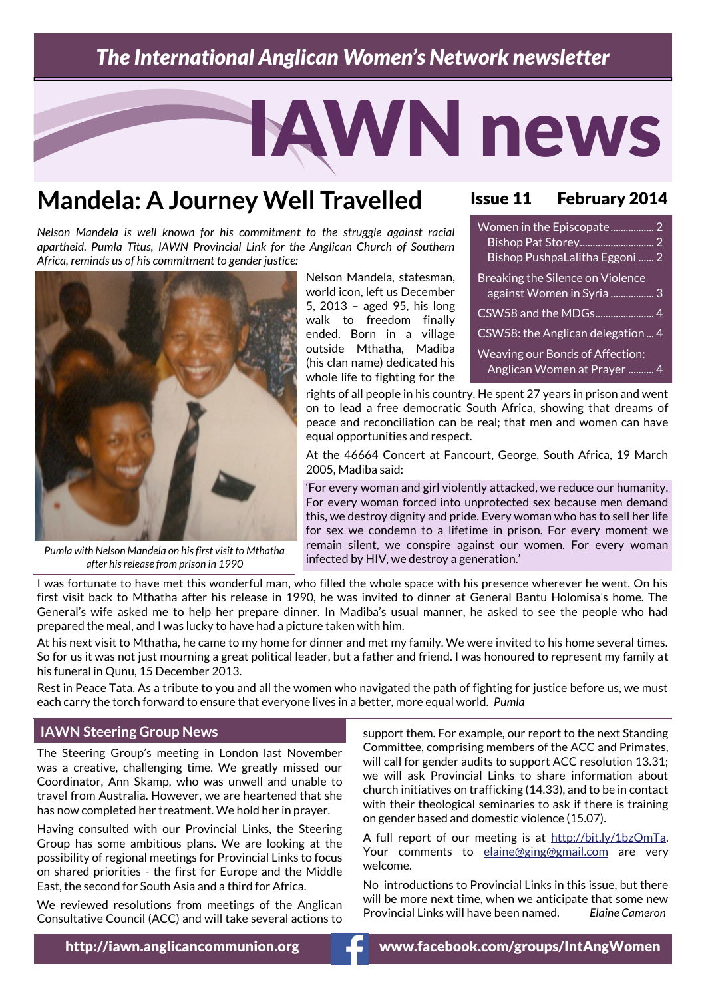## *The International Anglican Women's Network newsletter*

# IAWN news

# **Mandela: A Journey Well Travelled**

*Nelson Mandela is well known for his commitment to the struggle against racial apartheid. Pumla Titus, IAWN Provincial Link for the Anglican Church of Southern Africa, reminds us of his commitment to gender justice:*



*Pumla with Nelson Mandela on his first visit to Mthatha after his release from prison in 1990*

Nelson Mandela, statesman, world icon, left us December 5, 2013 – aged 95, his long walk to freedom finally ended. Born in a village outside Mthatha, Madiba (his clan name) dedicated his whole life to fighting for the

#### Issue 11 February 2014

| Women in the Episcopate 2<br>Bishop PushpaLalitha Eggoni  2    |
|----------------------------------------------------------------|
| Breaking the Silence on Violence<br>against Women in Syria  3  |
| CSW58 and the MDGs 4                                           |
| CSW58: the Anglican delegation  4                              |
| Weaving our Bonds of Affection:<br>Anglican Women at Prayer  4 |

rights of all people in his country. He spent 27 years in prison and went on to lead a free democratic South Africa, showing that dreams of peace and reconciliation can be real; that men and women can have equal opportunities and respect.

At the 46664 Concert at Fancourt, George, South Africa, 19 March 2005, Madiba said:

'For every woman and girl violently attacked, we reduce our humanity. For every woman forced into unprotected sex because men demand this, we destroy dignity and pride. Every woman who has to sell her life for sex we condemn to a lifetime in prison. For every moment we remain silent, we conspire against our women. For every woman infected by HIV, we destroy a generation.'

I was fortunate to have met this wonderful man, who filled the whole space with his presence wherever he went. On his first visit back to Mthatha after his release in 1990, he was invited to dinner at General Bantu Holomisa's home. The General's wife asked me to help her prepare dinner. In Madiba's usual manner, he asked to see the people who had prepared the meal, and I was lucky to have had a picture taken with him.

At his next visit to Mthatha, he came to my home for dinner and met my family. We were invited to his home several times. So for us it was not just mourning a great political leader, but a father and friend. I was honoured to represent my family at his funeral in Qunu, 15 December 2013.

Rest in Peace Tata. As a tribute to you and all the women who navigated the path of fighting for justice before us, we must each carry the torch forward to ensure that everyone lives in a better, more equal world. *Pumla*

#### **IAWN Steering Group News**

The Steering Group's meeting in London last November was a creative, challenging time. We greatly missed our Coordinator, Ann Skamp, who was unwell and unable to travel from Australia. However, we are heartened that she has now completed her treatment. We hold her in prayer.

Having consulted with our Provincial Links, the Steering Group has some ambitious plans. We are looking at the possibility of regional meetings for Provincial Links to focus on shared priorities - the first for Europe and the Middle East, the second for South Asia and a third for Africa.

We reviewed resolutions from meetings of the Anglican Consultative Council (ACC) and will take several actions to

support them. For example, our report to the next Standing Committee, comprising members of the ACC and Primates, will call for gender audits to support ACC resolution 13.31: we will ask Provincial Links to share information about church initiatives on trafficking (14.33), and to be in contact with their theological seminaries to ask if there is training on gender based and domestic violence (15.07).

A full report of our meeting is at [http://bit.ly/1bzOmTa.](http://bit.ly/1bzOmTa) Your comments to [elaine@ging@gmail.com](mailto:elaine@ging@gmail.com) are very welcome.

No introductions to Provincial Links in this issue, but there will be more next time, when we anticipate that some new Provincial Links will have been named. *Elaine Cameron*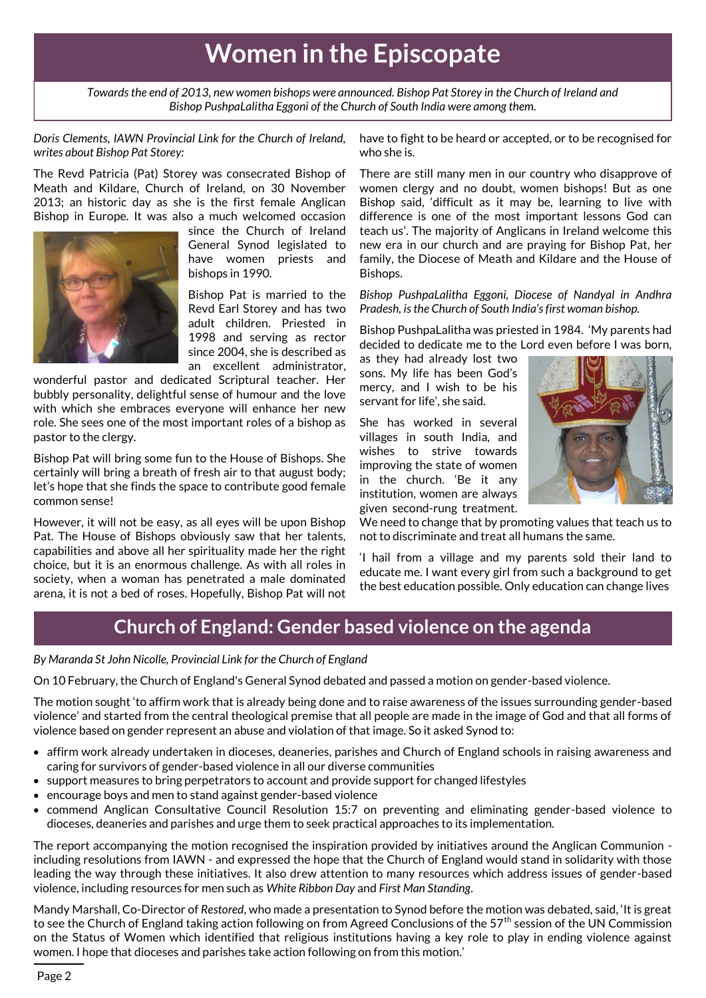# **Women in the Episcopate**

*Towards the end of 2013, new women bishops were announced. Bishop Pat Storey in the Church of Ireland and Bishop PushpaLalitha Eggoni of the Church of South India were among them.*

*Doris Clements, IAWN Provincial Link for the Church of Ireland, writes about Bishop Pat Storey:*

The Revd Patricia (Pat) Storey was consecrated Bishop of Meath and Kildare, Church of Ireland, on 30 November 2013; an historic day as she is the first female Anglican Bishop in Europe. It was also a much welcomed occasion



since the Church of Ireland General Synod legislated to have women priests and bishops in 1990.

Bishop Pat is married to the Revd Earl Storey and has two adult children. Priested in 1998 and serving as rector since 2004, she is described as an excellent administrator,

wonderful pastor and dedicated Scriptural teacher. Her bubbly personality, delightful sense of humour and the love with which she embraces everyone will enhance her new role. She sees one of the most important roles of a bishop as pastor to the clergy.

Bishop Pat will bring some fun to the House of Bishops. She certainly will bring a breath of fresh air to that august body; let's hope that she finds the space to contribute good female common sense!

However, it will not be easy, as all eyes will be upon Bishop Pat. The House of Bishops obviously saw that her talents, capabilities and above all her spirituality made her the right choice, but it is an enormous challenge. As with all roles in society, when a woman has penetrated a male dominated arena, it is not a bed of roses. Hopefully, Bishop Pat will not

have to fight to be heard or accepted, or to be recognised for who she is.

There are still many men in our country who disapprove of women clergy and no doubt, women bishops! But as one Bishop said, 'difficult as it may be, learning to live with difference is one of the most important lessons God can teach us'. The majority of Anglicans in Ireland welcome this new era in our church and are praying for Bishop Pat, her family, the Diocese of Meath and Kildare and the House of Bishops.

*Bishop PushpaLalitha Eggoni, Diocese of Nandyal in Andhra Pradesh, is the Church of South India's first woman bishop.*

Bishop PushpaLalitha was priested in 1984. 'My parents had decided to dedicate me to the Lord even before I was born,

as they had already lost two sons. My life has been God's mercy, and I wish to be his servant for life', she said.

She has worked in several villages in south India, and wishes to strive towards improving the state of women in the church. 'Be it any institution, women are always given second-rung treatment.



We need to change that by promoting values that teach us to not to discriminate and treat all humans the same.

'I hail from a village and my parents sold their land to educate me. I want every girl from such a background to get the best education possible. Only education can change lives

### **Church of England: Gender based violence on the agenda**

#### *By Maranda St John Nicolle, Provincial Link for the Church of England*

On 10 February, the Church of England's General Synod debated and passed a motion on gender-based violence.

The motion sought 'to affirm work that is already being done and to raise awareness of the issues surrounding gender-based violence' and started from the central theological premise that all people are made in the image of God and that all forms of violence based on gender represent an abuse and violation of that image. So it asked Synod to:

- affirm work already undertaken in dioceses, deaneries, parishes and Church of England schools in raising awareness and caring for survivors of gender-based violence in all our diverse communities
- support measures to bring perpetrators to account and provide support for changed lifestyles
- encourage boys and men to stand against gender-based violence
- commend Anglican Consultative Council Resolution 15:7 on preventing and eliminating gender-based violence to dioceses, deaneries and parishes and urge them to seek practical approaches to its implementation.

The report accompanying the motion recognised the inspiration provided by initiatives around the Anglican Communion including resolutions from IAWN - and expressed the hope that the Church of England would stand in solidarity with those leading the way through these initiatives. It also drew attention to many resources which address issues of gender-based violence, including resources for men such as *White Ribbon Day* and *First Man Standing*.

Mandy Marshall, Co-Director of *Restored*, who made a presentation to Synod before the motion was debated, said, 'It is great to see the Church of England taking action following on from Agreed Conclusions of the 57<sup>th</sup> session of the UN Commission on the Status of Women which identified that religious institutions having a key role to play in ending violence against women. I hope that dioceses and parishes take action following on from this motion.'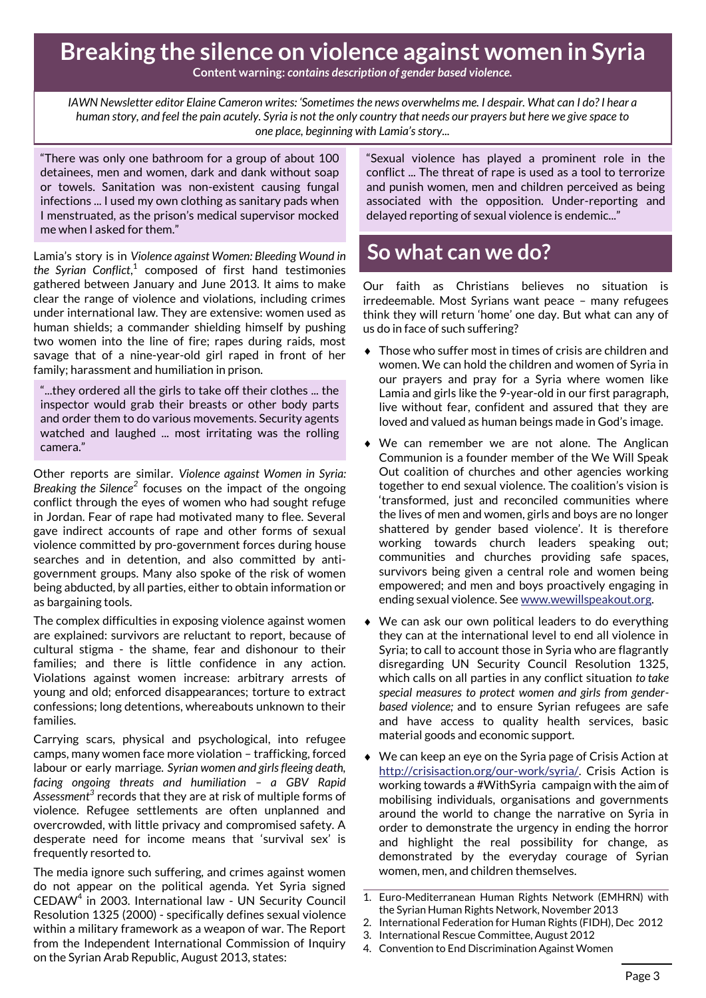# **Breaking the silence on violence against women in Syria**

**Content warning:** *contains description of gender based violence.*

*IAWN Newsletter editor Elaine Cameron writes: 'Sometimes the news overwhelms me. I despair. What can I do? I hear a human story, and feel the pain acutely. Syria is not the only country that needs our prayers but here we give space to one place, beginning with Lamia's story...*

"There was only one bathroom for a group of about 100 detainees, men and women, dark and dank without soap or towels. Sanitation was non-existent causing fungal infections ... I used my own clothing as sanitary pads when I menstruated, as the prison's medical supervisor mocked me when I asked for them."

Lamia's story is in *Violence against Women: Bleeding Wound in the Syrian Conflict*, 1 composed of first hand testimonies gathered between January and June 2013. It aims to make clear the range of violence and violations, including crimes under international law. They are extensive: women used as human shields; a commander shielding himself by pushing two women into the line of fire; rapes during raids, most savage that of a nine-year-old girl raped in front of her family; harassment and humiliation in prison.

"...they ordered all the girls to take off their clothes ... the inspector would grab their breasts or other body parts and order them to do various movements. Security agents watched and laughed ... most irritating was the rolling camera."

Other reports are similar. *Violence against Women in Syria:*  Breaking the Silence<sup>2</sup> focuses on the impact of the ongoing conflict through the eyes of women who had sought refuge in Jordan. Fear of rape had motivated many to flee. Several gave indirect accounts of rape and other forms of sexual violence committed by pro-government forces during house searches and in detention, and also committed by antigovernment groups. Many also spoke of the risk of women being abducted, by all parties, either to obtain information or as bargaining tools.

The complex difficulties in exposing violence against women are explained: survivors are reluctant to report, because of cultural stigma - the shame, fear and dishonour to their families; and there is little confidence in any action. Violations against women increase: arbitrary arrests of young and old; enforced disappearances; torture to extract confessions; long detentions, whereabouts unknown to their families.

Carrying scars, physical and psychological, into refugee camps, many women face more violation – trafficking, forced labour or early marriage. *Syrian women and girls fleeing death, facing ongoing threats and humiliation – a GBV Rapid Assessment<sup>3</sup>* records that they are at risk of multiple forms of violence. Refugee settlements are often unplanned and overcrowded, with little privacy and compromised safety. A desperate need for income means that 'survival sex' is frequently resorted to.

The media ignore such suffering, and crimes against women do not appear on the political agenda. Yet Syria signed CEDAW<sup>4</sup> in 2003. International law - UN Security Council Resolution 1325 (2000) - specifically defines sexual violence within a military framework as a weapon of war. The Report from the Independent International Commission of Inquiry on the Syrian Arab Republic, August 2013, states:

"Sexual violence has played a prominent role in the conflict ... The threat of rape is used as a tool to terrorize and punish women, men and children perceived as being associated with the opposition. Under-reporting and delayed reporting of sexual violence is endemic..."

## **So what can we do?**

Our faith as Christians believes no situation is irredeemable. Most Syrians want peace – many refugees think they will return 'home' one day. But what can any of us do in face of such suffering?

- ◆ Those who suffer most in times of crisis are children and women. We can hold the children and women of Syria in our prayers and pray for a Syria where women like Lamia and girls like the 9-year-old in our first paragraph, live without fear, confident and assured that they are loved and valued as human beings made in God's image.
- We can remember we are not alone. The Anglican Communion is a founder member of the We Will Speak Out coalition of churches and other agencies working together to end sexual violence. The coalition's vision is 'transformed, just and reconciled communities where the lives of men and women, girls and boys are no longer shattered by gender based violence'. It is therefore working towards church leaders speaking out; communities and churches providing safe spaces, survivors being given a central role and women being empowered; and men and boys proactively engaging in ending sexual violence. See [www.wewillspeakout.org.](http://www.wewillspeakout.org/)
- We can ask our own political leaders to do everything they can at the international level to end all violence in Syria; to call to account those in Syria who are flagrantly disregarding UN Security Council Resolution 1325, which calls on all parties in any conflict situation *to take special measures to protect women and girls from genderbased violence;* and to ensure Syrian refugees are safe and have access to quality health services, basic material goods and economic support.
- We can keep an eye on the Syria page of Crisis Action at [http://crisisaction.org/our-work/syria/.](http://crisisaction.org/our-work/syria/) Crisis Action is working towards a #WithSyria campaign with the aim of mobilising individuals, organisations and governments around the world to change the narrative on Syria in order to demonstrate the urgency in ending the horror and highlight the real possibility for change, as demonstrated by the everyday courage of Syrian women, men, and children themselves.

<sup>1.</sup> Euro-Mediterranean Human Rights Network (EMHRN) with the Syrian Human Rights Network, November 2013

<sup>2.</sup> International Federation for Human Rights (FIDH), Dec 2012

<sup>3.</sup> International Rescue Committee, August 2012

<sup>4.</sup> Convention to End Discrimination Against Women